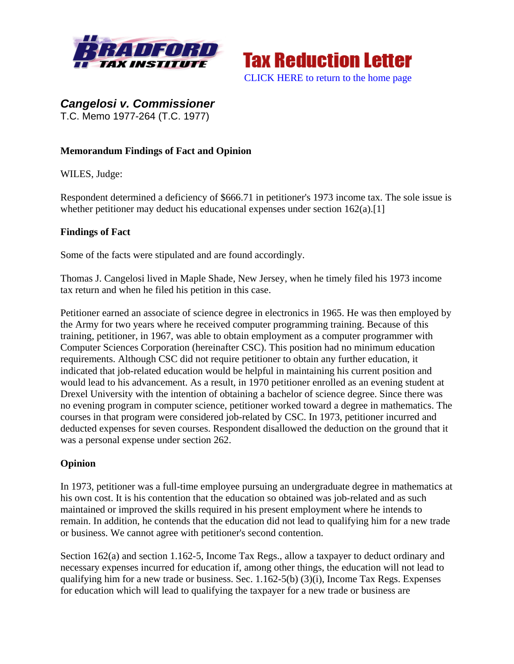



*Cangelosi v. Commissioner*  T.C. Memo 1977-264 (T.C. 1977)

## **Memorandum Findings of Fact and Opinion**

WILES, Judge:

Respondent determined a deficiency of \$666.71 in petitioner's 1973 income tax. The sole issue is whether petitioner may deduct his educational expenses under section  $162(a)$ . [1]

## **Findings of Fact**

Some of the facts were stipulated and are found accordingly.

Thomas J. Cangelosi lived in Maple Shade, New Jersey, when he timely filed his 1973 income tax return and when he filed his petition in this case.

Petitioner earned an associate of science degree in electronics in 1965. He was then employed by the Army for two years where he received computer programming training. Because of this training, petitioner, in 1967, was able to obtain employment as a computer programmer with Computer Sciences Corporation (hereinafter CSC). This position had no minimum education requirements. Although CSC did not require petitioner to obtain any further education, it indicated that job-related education would be helpful in maintaining his current position and would lead to his advancement. As a result, in 1970 petitioner enrolled as an evening student at Drexel University with the intention of obtaining a bachelor of science degree. Since there was no evening program in computer science, petitioner worked toward a degree in mathematics. The courses in that program were considered job-related by CSC. In 1973, petitioner incurred and deducted expenses for seven courses. Respondent disallowed the deduction on the ground that it was a personal expense under section 262.

## **Opinion**

In 1973, petitioner was a full-time employee pursuing an undergraduate degree in mathematics at his own cost. It is his contention that the education so obtained was job-related and as such maintained or improved the skills required in his present employment where he intends to remain. In addition, he contends that the education did not lead to qualifying him for a new trade or business. We cannot agree with petitioner's second contention.

Section 162(a) and section 1.162-5, Income Tax Regs., allow a taxpayer to deduct ordinary and necessary expenses incurred for education if, among other things, the education will not lead to qualifying him for a new trade or business. Sec. 1.162-5(b) (3)(i), Income Tax Regs. Expenses for education which will lead to qualifying the taxpayer for a new trade or business are